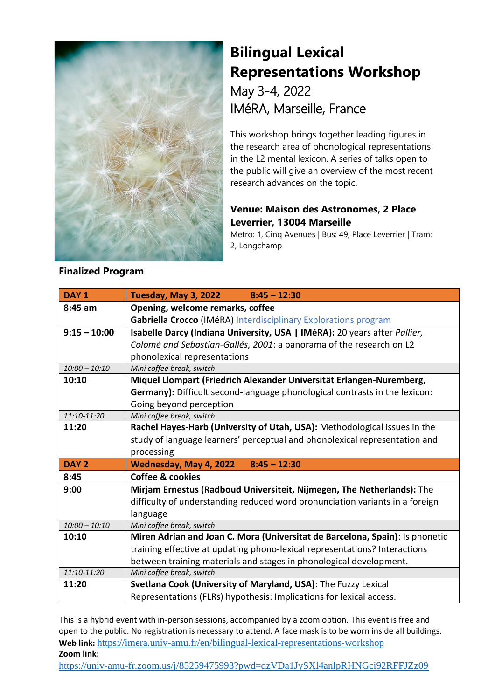

## **Bilingual Lexical Representations Workshop** May 3-4, 2022 IMéRA, Marseille, France

This workshop brings together leading figures in the research area of phonological representations in the L2 mental lexicon. A series of talks open to the public will give an overview of the most recent research advances on the topic.

## **Venue: Maison des Astronomes, 2 Place Leverrier, 13004 Marseille**

Metro: 1, Cinq Avenues | Bus: 49, Place Leverrier | Tram: 2, Longchamp

| Tuesday, May 3, 2022<br>$8:45 - 12:30$                                       |
|------------------------------------------------------------------------------|
| Opening, welcome remarks, coffee                                             |
| Gabriella Crocco (IMéRA) Interdisciplinary Explorations program              |
| Isabelle Darcy (Indiana University, USA   IMéRA): 20 years after Pallier,    |
| Colomé and Sebastian-Gallés, 2001: a panorama of the research on L2          |
| phonolexical representations                                                 |
| Mini coffee break, switch                                                    |
| Miquel Llompart (Friedrich Alexander Universität Erlangen-Nuremberg,         |
| Germany): Difficult second-language phonological contrasts in the lexicon:   |
| Going beyond perception                                                      |
| Mini coffee break, switch                                                    |
| Rachel Hayes-Harb (University of Utah, USA): Methodological issues in the    |
| study of language learners' perceptual and phonolexical representation and   |
| processing                                                                   |
| Wednesday, May 4, 2022<br>$8:45 - 12:30$                                     |
| Coffee & cookies                                                             |
| Mirjam Ernestus (Radboud Universiteit, Nijmegen, The Netherlands): The       |
| difficulty of understanding reduced word pronunciation variants in a foreign |
| language                                                                     |
| Mini coffee break, switch                                                    |
| Miren Adrian and Joan C. Mora (Universitat de Barcelona, Spain): Is phonetic |
| training effective at updating phono-lexical representations? Interactions   |
| between training materials and stages in phonological development.           |
| Mini coffee break, switch                                                    |
| Svetlana Cook (University of Maryland, USA): The Fuzzy Lexical               |
| Representations (FLRs) hypothesis: Implications for lexical access.          |
|                                                                              |

This is a hybrid event with in-person sessions, accompanied by a zoom option. This event is free and open to the public. No registration is necessary to attend. A face mask is to be worn inside all buildings. **Web link:** <https://imera.univ-amu.fr/en/bilingual-lexical-representations-workshop> **Zoom link:** 

<https://univ-amu-fr.zoom.us/j/85259475993?pwd=dzVDa1JySXl4anlpRHNGci92RFFJZz09>

## **Finalized Program**